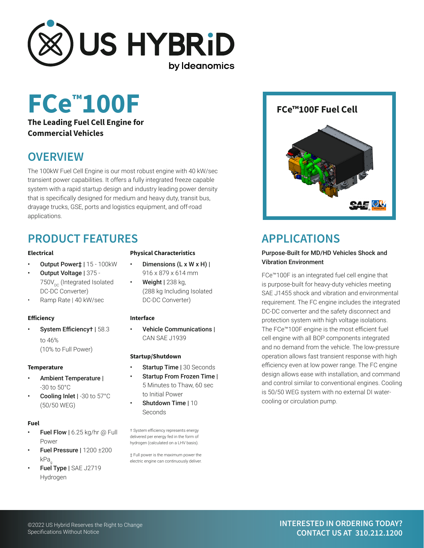

# **FCe FCe™100F Fuel Cell ™100F**

### **The Leading Fuel Cell Engine for Commercial Vehicles**

# **OVERVIEW**

The 100kW Fuel Cell Engine is our most robust engine with 40 kW/sec transient power capabilities. It offers a fully integrated freeze capable system with a rapid startup design and industry leading power density that is specifically designed for medium and heavy duty, transit bus, drayage trucks, GSE, ports and logistics equipment, and off-road applications.

# **PRODUCT FEATURES**

#### **Electrical**

- Output Power‡ | 15 100kW
- Output Voltage | 375 750V<sub>DC</sub> (Integrated Isolated DC-DC Converter)
- Ramp Rate | 40 kW/sec

#### **Efficiency**

• System Efficiency† | 58.3 to 46% (10% to Full Power)

#### **Temperature**

- Ambient Temperature | -30 to 50°C
- Cooling Inlet | -30 to 57°C (50/50 WEG)

#### **Fuel**

- **Fuel Flow | 6.25 kg/hr @ Full** Power
- Fuel Pressure | 1200 ±200 kPa
- Fuel Type | SAE J2719 Hydrogen

#### **Physical Characteristics**

- Dimensions  $(L \times W \times H)$  | 916 x 879 x 614 mm
- **Weight** | 238 kg, (288 kg Including Isolated DC-DC Converter)

#### **Interface**

• Vehicle Communications | CAN SAE J1939

#### **Startup/Shutdown**

- **Startup Time | 30 Seconds** Startup From Frozen Time |
- 5 Minutes to Thaw, 60 sec to Initial Power
- Shutdown Time | 10 **Seconds**

† System efficiency represents energy delivered per energy fed in the form of hydrogen (calculated on a LHV basis).

‡ Full power is the maximum power the electric engine can continuously deliver.



# **APPLICATIONS**

#### Purpose-Built for MD/HD Vehicles Shock and Vibration Environment

FCe™100F is an integrated fuel cell engine that is purpose-built for heavy-duty vehicles meeting SAE J1455 shock and vibration and environmental requirement. The FC engine includes the integrated DC-DC converter and the safety disconnect and protection system with high voltage isolations. The FCe™100F engine is the most efficient fuel cell engine with all BOP components integrated and no demand from the vehicle. The low-pressure operation allows fast transient response with high efficiency even at low power range. The FC engine design allows ease with installation, and command and control similar to conventional engines. Cooling is 50/50 WEG system with no external DI watercooling or circulation pump.